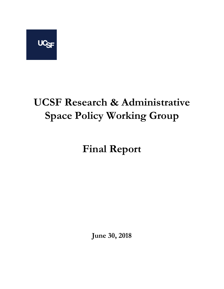

# **UCSF Research & Administrative Space Policy Working Group**

# **Final Report**

**June 30, 2018**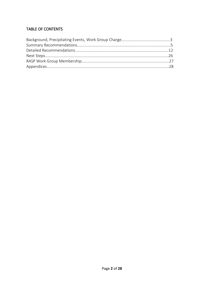## TABLE OF CONTENTS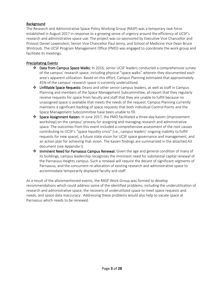#### **Background**

The Research and Administrative Space Policy Working Group (RASP) was a temporary task force established in August 2017 in response to a growing sense of urgency around the efficiency of UCSF's research and administrative space use. The project was co-sponsored by Executive Vice Chancellor and Provost Daniel Lowenstein, Senior Vice Chancellor Paul Jenny, and School of Medicine Vice Dean Bruce Wintroub. The UCSF Program Management Office (PMO) was engaged to coordinate the work group and facilitate its meetings.

#### Precipitating Events

- Data from Campus Space Walks: In 2016, senior UCSF leaders conducted a comprehensive survey of the campus' research space, including physical "space walks" wherein they documented each area's apparent utilization. Based on this effort, Campus Planning estimated that approximately 45% of the campus' research space is currently underutilized.
- $\clubsuit$  Unfillable Space Requests: Deans and other senior campus leaders, as well as staff in Campus Planning and members of the Space Management Subcommittee, all report that they regularly receive requests for space from faculty and staff that they are unable to fulfill because no unassigned space is available that meets the needs of the request. Campus Planning currently maintains a significant backlog of space requests that both individual Control Points and the Space Management Subcommittee have been unable to fill.
- Space Assignment Kaizen: In June 2017, the PMO facilitated a three-day kaizen (improvement workshop) on the campus' process for assigning and managing research and administrative space. The outcomes from this event included a comprehensive assessment of the root causes contributing to UCSF's "space liquidity crisis" (i.e., campus leaders' ongoing inability to fulfill requests for new space), a future state vision for UCSF space governance and management, and an action plan for achieving that vision. The kaizen findings are summarized in the attached A3 document (see Appendix I).
- Imminent Need for Parnassus Campus Renewal: Given the age and general condition of many of its buildings, campus leadership recognizes the imminent need for substantial capital renewal of the Parnassus Heights campus. Such a renewal will require the decant of significant segments of Parnassus, and the concurrent re-allocation of existing research and administrative space to accommodate temporarily displaced faculty and staff.

As a result of the aforementioned events, the RASP Work Group was formed to develop recommendations which could address some of the identified problems, including the underutilization of research and administrative space, the recovery of underutilized space to meet space requests and needs, and space data inaccuracy. Addressing these problems would also help to vacate space at Parnassus which needs to be renewed.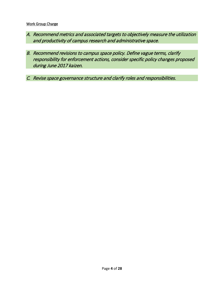#### Work Group Charge

- A. Recommend metrics and associated targets to objectively measure the utilization and productivity of campus research and administrative space.
- B. Recommend revisions to campus space policy. Define vague terms, clarify responsibility for enforcement actions, consider specific policy changes proposed during June 2017 kaizen.
- C. Revise space governance structure and clarify roles and responsibilities.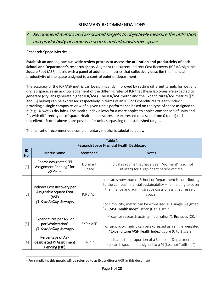## SUMMARY RECOMMENDATIONS

# A. Recommend metrics and associated targets to objectively measure the utilization and productivity of campus research and administrative space.

#### Research Space Metrics

**Establish an annual, campus-wide review process to assess the utilization and productivity of each School and Department's research space.** Augment the current Indirect Cost Recovery (ICR)/Assignable Square Foot (ASF) metric with a panel of additional metrics that collectively describe the financial productivity of the space assigned to a control point or department.

The accuracy of the ICR/ASF metric can be significantly improved by setting different targets for wet and dry lab space, as an acknowledgement of the differing rates of ICR that these lab types are expected to generate (dry labs generate higher ICR/ASF). The ICR/ASF metric and the Expenditures/ASF metrics ([2] and [3] below) can be expressed respectively in terms of an ICR or Expenditures "Health Index," providing a single composite view of a given unit's performance based on the type of space assigned to it (e.g., % wet vs dry labs). The Health Index allows for a more apples to apples comparison of units and PIs with different types of space. Health Index scores are expressed on a scale from 0 (poor) to 1 (excellent). Scores above 1 are possible for units surpassing the established target.

|                                                                                                                                                                 | Table 1<br>Research Space Financial Health Dashboard                                       |                  |                                                                                                                                                                                                                                                                                                                       |  |  |
|-----------------------------------------------------------------------------------------------------------------------------------------------------------------|--------------------------------------------------------------------------------------------|------------------|-----------------------------------------------------------------------------------------------------------------------------------------------------------------------------------------------------------------------------------------------------------------------------------------------------------------------|--|--|
| ID<br>No.                                                                                                                                                       | <b>Metric Name</b>                                                                         | Shorthand        | <b>Notes</b>                                                                                                                                                                                                                                                                                                          |  |  |
| $[1]$                                                                                                                                                           | Rooms designated "PI<br>Assignment Pending" for<br>>2 Years                                | Dormant<br>Space | Indicates rooms that have been "dormant" (i.e., not<br>utilized) for a significant period of time                                                                                                                                                                                                                     |  |  |
| $[2] % \includegraphics[width=0.9\columnwidth]{figures/fig_10.pdf} \caption{The figure shows the number of parameters in the left and right.} \label{fig:2}} %$ | Indirect Cost Recovery per<br>Assignable Square Foot<br>(ASF)<br>(3-Year Rolling Average)  | ICR / ASF        | Indicates how much a School or Department is contributing<br>to the campus' financial sustainability $-$ i.e. helping to cover<br>the finance and administrative costs of assigned research<br>space.<br>For simplicity, metric can be expressed as a single weighted<br>"ICR/ASF Health Index" score (0 to 1 scale). |  |  |
| [3]                                                                                                                                                             | <b>Expenditures per ASF or</b><br>per Workstation <sup>1</sup><br>(3-Year Rolling Average) | EXP / ASF        | Proxy for research activity ("utilization"). Excludes ICR.<br>For simplicity, metric can be expressed as a single weighted<br>"Expenditures/ASF Health Index" score (0 to 1 scale).                                                                                                                                   |  |  |
| $[4]$                                                                                                                                                           | Percentage of ASF<br>designated PI Assignment<br>Pending (PIP)                             | % PIP            | Indicates the proportion of a School or Department's<br>research space not assigned to a PI (i.e., not "utilized")                                                                                                                                                                                                    |  |  |

The full set of recommended complementary metrics is tabulated below:

<span id="page-4-0"></span><sup>&</sup>lt;sup>1</sup> For simplicity, this metric will be referred to as Expenditures/ASF in this document.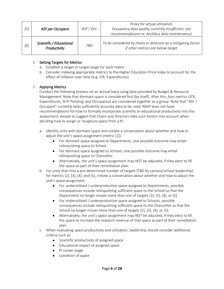| '5] | ASF per Occupant                         | ASF / Occ  | Proxy for actual utilization<br>Occupancy data quality currently insufficient, see<br>recommendations re: Archibus data maintenance) |
|-----|------------------------------------------|------------|--------------------------------------------------------------------------------------------------------------------------------------|
| [6] | Scientific / Educational<br>Productivity | <b>TBD</b> | To be considered by chairs or directors as a mitigating factor<br>if other metrics are below target                                  |

#### 1. Setting Targets for Metrics

- a. Establish a target or target range for each metric
- b. Consider indexing appropriate metrics to the Higher Education Price Index to account for the effect of inflation over time (e.g. ICR, Expenditures)

#### 2. Applying Metrics

Conduct the following process on an annual basis using data provided by Budget & Resource Management. Note that dormant space is considered first (by itself). After this, four metrics (ICR, Expenditures, % PI Pending, and Occupancy) are considered together as a group. Note that "ASF / Occupant" currently lacks sufficiently accurate data to be used. RASP does not have recommendations for how to formally incorporate scientific or educational productivity into this assessment, except to suggest that Chairs and Directors take such factors into account when deciding how to assign or recapture space from a PI.

- a. Identify units with dormant space and initiate a conversation about whether and how to adjust the unit's space assignment (metric [1]).
	- For dormant space assigned to Departments, one possible outcome may entail relinquishing space to School.
	- For dormant space assigned to Schools, one possible outcome may entail relinquishing space to Chancellor.
	- Alternatively, the unit's space assignment may NOT be adjusted, if they elect to fill the space as part of their remediation plan.
- b. For units that miss a pre-determined number of targets (TBD by campus/school leadership) for metrics [2], [3], [4], and [5], initiate a conversation about whether and how to adjust the unit's space assignment:
	- For underutilized / underproductive space assigned to Departments, possible consequences include relinquishing sufficient space to the School so that the Department no longer misses more than one of targets [2], [3], [4], or [5].
	- For underutilized / underproductive space assigned to Schools, possible consequences include relinquishing sufficient space to the Chancellor so that the School no longer misses more than one of targets [2], [3], [4], or [5].
	- Alternatively, the unit's space assignment may NOT be adjusted, if they elect to fill the space or increase the research revenue of that space as part of their remediation plan.
- c. When evaluating space productivity and utilization, leadership should consider additional criteria such as:
	- Scientific productivity of assigned space
	- Educational impact of assigned space
	- PI career stage
	- Condition of space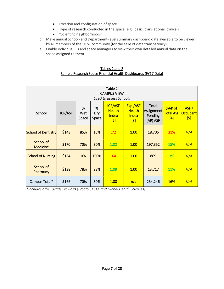- Location and configuration of space
- Type of research conducted in the space (e.g., basic, translational, clinical)
- "Scientific neighborhoods"
- d. Make annual School- and Department-level summary dashboard data available to be viewed by all members of the UCSF community (for the sake of data transparency).
- e. Enable individual PIs and space managers to view their own detailed annual data on the space assigned to them.

#### Tables 2 and 3 Sample Research Space Financial Health Dashboards (FY17 Data)

| Table 2<br><b>CAMPUS VIEW</b><br>Used to assess Schools |                |                   |                   |                                                        |                                                    |                                                           |                                     |                                  |
|---------------------------------------------------------|----------------|-------------------|-------------------|--------------------------------------------------------|----------------------------------------------------|-----------------------------------------------------------|-------------------------------------|----------------------------------|
| School                                                  | <b>ICR/ASF</b> | %<br>Wet<br>Space | %<br>Dry<br>Space | <b>ICR/ASF</b><br><b>Health</b><br><b>Index</b><br>[2] | Exp./ASF<br><b>Health</b><br><b>Index</b><br>$[3]$ | Total<br>Assignment <mark>l</mark><br>Pending<br>(AP) ASF | %AP of<br><b>Total ASF</b><br>$[4]$ | ASF/<br><b>Occupant</b><br>$[5]$ |
| <b>School of Dentistry</b>                              | \$143          | 85%               | 15%               | .72                                                    | 1.00                                               | 18,706                                                    | 31%                                 | N/A                              |
| School of<br><b>Medicine</b>                            | \$170          | 70%               | 30%               | 1.02                                                   | 1.00                                               | 197,352                                                   | <b>15%</b>                          | N/A                              |
| <b>School of Nursing</b>                                | \$164          | 0%                | 100%              | .64                                                    | 1.00                                               | 869                                                       | 3%                                  | N/A                              |
| School of<br>Pharmacy                                   | \$138          | 78%               | 22%               | 1.09                                                   | 1.00                                               | 13,717                                                    | <b>11%</b>                          | N/A                              |
| Campus Total*                                           | \$166          | 70%               | 30%               | 1.00                                                   | n/a                                                | 234,246                                                   | <b>16%</b>                          | N/A                              |

*\*Includes other academic units (Proctor, QB3, and Global Health Sciences)*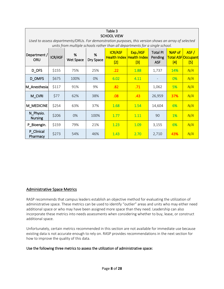|                             | Table 3<br><b>SCHOOL VIEW</b><br>Used to assess departments/ORUs. For demonstration purposes, this version shows an array of selected                                                                                                                                                                                                        |      |      |      |      |        |     |     |
|-----------------------------|----------------------------------------------------------------------------------------------------------------------------------------------------------------------------------------------------------------------------------------------------------------------------------------------------------------------------------------------|------|------|------|------|--------|-----|-----|
| Department /<br><b>ORU</b>  | units from multiple schools rather than all departments for a single school.<br><b>ICR/ASF</b><br>%AP of<br>ASF/<br>Exp./ASF<br><b>Total PI</b><br>%<br>%<br><b>ICR/ASF</b><br><b>Health Index Health Index</b><br>Pending<br>Total ASF Occupant<br><b>Wet Space</b><br>Dry Space<br>[2]<br>$\left[3\right]$<br><b>ASF</b><br>$[4]$<br>$[5]$ |      |      |      |      |        |     |     |
| D OFS                       | \$155                                                                                                                                                                                                                                                                                                                                        | 75%  | 25%  | .22  | 1.88 | 1,737  | 14% | N/A |
| <b>D_OMFS</b>               | \$675                                                                                                                                                                                                                                                                                                                                        | 100% | 0%   | 6.02 | 4.11 |        | 0%  | N/A |
| M_Anesthesia                | \$117                                                                                                                                                                                                                                                                                                                                        | 91%  | 9%   | .82  | .71  | 1,062  | 5%  | N/A |
| M_CVRI                      | \$77                                                                                                                                                                                                                                                                                                                                         | 62%  | 38%  | .08  | .43  | 26,959 | 37% | N/A |
| M_MEDICINE                  | \$254                                                                                                                                                                                                                                                                                                                                        | 63%  | 37%  | 1.68 | 1.54 | 14,604 | 6%  | N/A |
| N_Physio.<br><b>Nursing</b> | \$206                                                                                                                                                                                                                                                                                                                                        | 0%   | 100% | 1.77 | 1.11 | 90     | 1%  | N/A |
| P_Bioengin.                 | \$159                                                                                                                                                                                                                                                                                                                                        | 79%  | 21%  | 1.23 | 1.09 | 3,155  | 6%  | N/A |
| P Clinical<br>Pharmacy      | \$273                                                                                                                                                                                                                                                                                                                                        | 54%  | 46%  | 1.43 | 2.70 | 2,710  | 43% | N/A |

#### Administrative Space Metrics

RASP recommends that campus leaders establish an objective method for evaluating the utilization of administrative space. These metrics can be used to identify "outlier" areas and units who may either need additional space or who may have been assigned more space than they need. Leadership can also incorporate these metrics into needs assessments when considering whether to buy, lease, or construct additional space.

Unfortunately, certain metrics recommended in this section are not available for immediate use because existing data is not accurate enough to rely on. RASP provides recommendations in the next section for how to improve the quality of this data.

#### Use the following three metrics to assess the utilization of administrative space: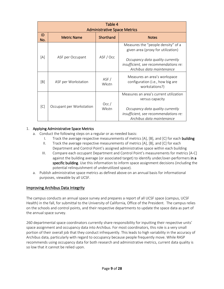|                   | Table 4<br><b>Administrative Space Metrics</b> |                |                                                                                                        |  |  |  |
|-------------------|------------------------------------------------|----------------|--------------------------------------------------------------------------------------------------------|--|--|--|
| ID<br>No.         | <b>Metric Name</b>                             | Shorthand      | <b>Notes</b>                                                                                           |  |  |  |
|                   |                                                |                | Measures the "people density" of a<br>given area (proxy for utilization)                               |  |  |  |
| [A]               | ASF per Occupant                               | ASF / Occ      | Occupancy data quality currently<br>insufficient, see recommendations re:<br>Archibus data maintenance |  |  |  |
| [B]               | ASF per Workstation                            | ASF/<br>Wkstn  | Measures an area's workspace<br>configuration (i.e., how big are<br>workstations?)                     |  |  |  |
| $\lceil C \rceil$ | Occupant per Workstation                       | Occ /<br>Wkstn | Measures an area's current utilization<br>versus capacity<br>Occupancy data quality currently          |  |  |  |
|                   |                                                |                | insufficient, see recommendations re:<br>Archibus data maintenance                                     |  |  |  |

#### 1. Applying Administrative Space Metrics

- a. Conduct the following steps on a regular or as-needed basis:
	- I. Track the average respective measurements of metrics [A], [B], and [C] for each building
	- II. Track the average respective measurements of metrics [A], [B], and [C] for each Department and Control Point's assigned administrative space within each building
	- III. Compare each occupant Department and Control Point's measurements for metrics [A-C] against the building average (or associated target) to identify under/over-performers in a specific building. Use this information to inform space assignment decisions (including the potential relinquishment of underutilized space).
- a. Publish administrative space metrics as defined above on an annual basis for informational purposes, viewable by all UCSF.

#### Improving Archibus Data Integrity

The campus conducts an annual space survey and prepares a report of all UCSF space (campus, UCSF Health) in the fall, for submittal to the University of California, Office of the President. The campus relies on the schools and control points, and their respective departments to update the space data as part of the annual space survey.

260 departmental space coordinators currently share responsibility for inputting their respective units' space assignment and occupancy data into Archibus. For most coordinators, this role is a very small portion of their overall job that they conduct infrequently. This leads to high variability in the accuracy of Archibus data, particularly with regard to occupancy because people frequently move. While RASP recommends using occupancy data for both research and administrative metrics, current data quality is so low that it cannot be relied upon.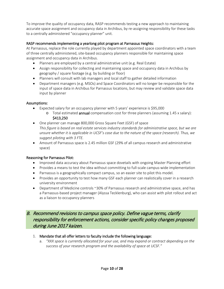To improve the quality of occupancy data, RASP recommends testing a new approach to maintaining accurate space assignment and occupancy data in Archibus, by re-assigning responsibility for these tasks to a centrally administered "occupancy planner" unit.

#### RASP recommends implementing a yearlong pilot program at Parnassus Heights:

At Parnassus, replace the role currently played by department appointed space coordinators with a team of three centrally administered, site-based occupancy planners responsible for maintaining space assignment and occupancy data in Archibus.

- Planners are employed by a central administrative unit (e.g. Real Estate)
- Assign responsibility for collecting and maintaining space and occupancy data in Archibus by geography / square footage (e.g. by building or floor)
- Planners will consult with lab managers and local staff to gather detailed information
- Department managers (e.g. MSOs) and Space Coordinators will no longer be responsible for the input of space data in Archibus for Parnassus locations, but may review and validate space data input by planner

#### Assumptions:

- Expected salary for an occupancy planner with 5 years' experience is \$95,000
	- o Total estimated annual compensation cost for three planners (assuming 1.45 x salary): \$413,250
- One planner can manage 800,000 Gross Square Feet (GSF) of space *This figure is based on real estate services industry standards for administrative space, but we are unsure whether it is applicable in UCSF's case due to the nature of the space (research). Thus, we suggest piloting with 3 FTE.*
- Amount of Parnassus space is 2.45 million GSF (29% of all campus research and administrative space)

#### Reasoning for Parnassus Pilot:

- Improved data accuracy about Parnassus space dovetails with ongoing Master Planning effort
- Provides a means to test the idea without committing to full-scale campus-wide implementation
- Parnassus is a geographically compact campus, so an easier site to pilot this model.
- Provides an opportunity to test how many GSF each planner can realistically cover in a research university environment
- Department of Medicine controls ~30% of Parnassus research and administrative space, and has a Parnassus-based project manager (Alyssa Tecklenburg), who can assist with pilot rollout and act as a liaison to occupancy planners

# B. Recommend revisions to campus space policy. Define vague terms, clarify responsibility for enforcement actions, consider specific policy changes proposed during June 2017 kaizen.

- 1. Mandate that all offer letters to faculty include the following language:
	- a. *"XXX space is currently allocated for your use, and may expand or contract depending on the success of your research program and the availability of space at UCSF."*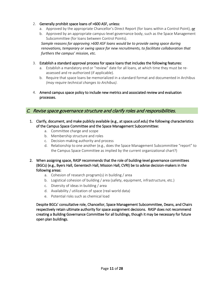#### 2. Generally prohibit space loans of >600 ASF, unless:

- a. Approved by the appropriate Chancellor's Direct Report (for loans within a Control Point), or
- b. Approved by an appropriate campus-level governance body, such as the Space Management Subcommittee (for loans between Control Points).

*Sample reasons for approving >600 ASF loans would be to provide swing space during renovations, temporary or swing space for new recruitments, to facilitate collaboration that furthers the campus' mission, etc.*

#### 3. Establish a standard approval process for space loans that includes the following features:

- a. Establish a mandatory end or "review" date for all loans, at which time they must be reassessed and re-authorized (if applicable).
- b. Require that space loans be memorialized in a standard format and documented in Archibus *(may require technical changes to Archibus)*.
- 4. Amend campus space policy to include new metrics and associated review and evaluation processes.

## C. Revise space governance structure and clarify roles and responsibilities.

- 1. Clarify, document, and make publicly available (e.g., at space.ucsf.edu) the following characteristics of the Campus Space Committee and the Space Management Subcommittee:
	- a. Committee charge and scope
	- b. Membership structure and roles
	- c. Decision-making authority and process
	- d. Relationship to one another (e.g., does the Space Management Subcommittee "report" to the Campus Space Committee as implied by the current organizational chart?)
- 2. When assigning space, RASP recommends that the role of building-level governance committees (BGCs) (e.g., Byers Hall, Genentech Hall, Mission Hall, CVRI) be to advise decision-makers in the following areas:
	- a. Cohesion of research program(s) in building / area
	- b. Logistical cohesion of building / area (safety, equipment, infrastructure, etc.)
	- c. Diversity of ideas in building / area
	- d. Availability / utilization of space (real-world data)
	- e. Potential risks such as chemical load

Despite BGCs' consultative role, Chancellor, Space Management Subcommittee, Deans, and Chairs respectively retain ultimate authority for space assignment decisions. RASP does not recommend creating a Building Governance Committee for all buildings, though it may be necessary for future open plan buildings.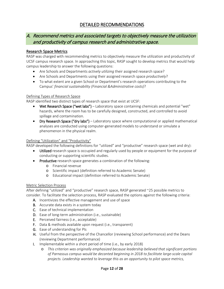## DETAILED RECOMMENDATIONS

## A. Recommend metrics and associated targets to objectively measure the utilization and productivity of campus research and administrative space.

#### Research Space Metrics

RASP was charged with recommending metrics to objectively measure the utilization and productivity of UCSF campus research space. In approaching this topic, RASP sought to develop metrics that would help campus leadership to answer the following questions:

- Are Schools and Departments *actively utilizing* their assigned research space?
- Are Schools and Departments using their assigned research space *productively*?
- To what extent are a given School or Department's research operations contributing to the Campus' *financial sustainability (Financial &Administrative costs)*?

#### Defining Types of Research Space

RASP identified two distinct types of research space that exist at UCSF:

- Wet Research Space ("wet labs") Laboratory space containing chemicals and potential "wet" hazards, where the room has to be carefully designed, constructed, and controlled to avoid spillage and contamination.
- Dry Research Space ("dry labs") Laboratory space where computational or applied mathematical analyses are conducted using computer-generated models to understand or simulate a phenomenon in the physical realm.

#### Defining "Utilization" and "Productivity"

RASP developed the following definitions for "utilized" and "productive" research space (wet and dry):

- Utilized research space is occupied and regularly used by people or equipment for the purpose of conducting or supporting scientific studies.
- Productive research space generates a combination of the following:
	- o Financial revenue
	- o Scientific impact (definition referred to Academic Senate)
	- o Educational impact (definition referred to Academic Senate)

#### Metric Selection Process

After defining "utilized" and "productive" research space, RASP generated ~25 possible metrics to consider. To facilitate the selection process, RASP evaluated the options against the following criteria:

- A. Incentivizes the effective management and use of space
- **B.** Accurate data exists in a system today
- C. Ease of technical implementation
- D. Ease of long-term administration (i.e., sustainable)
- E. Perceived fairness (i.e., acceptable)
- F. Data & methods available upon request (i.e., transparent)
- G. Ease of understanding for PIs
- H. Useful from the perspective of the Chancellor (reviewing School performance) and the Deans (reviewing Department performance)
- I. Implementable within a short period of time (i.e., by early 2018)
	- o *This criterion was originally emphasized because leadership believed that significant portions of Parnassus campus would be decanted beginning in 2018 to facilitate large-scale capital projects. Leadership wanted to leverage this as an opportunity to pilot space metrics,*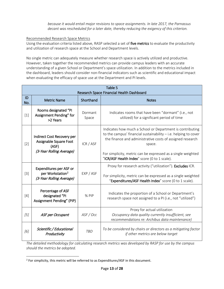*because it would entail major revisions to space assignments. In late 2017, the Parnassus decant was rescheduled for a later date, thereby reducing the exigency of this criterion.*

#### Recommended Research Space Metrics

Using the evaluation criteria listed above, RASP selected a set of five metrics to evaluate the productivity and utilization of research space at the School and Department levels.

No single metric can adequately measure whether research space is actively utilized and productive. However, taken together the recommended metrics can provide campus leaders with an accurate understanding of a given School or Department's space utilization. In addition to the metrics included in the dashboard, leaders should consider non-financial indicators such as scientific and educational impact when evaluating the efficacy of space use at the Department and PI levels.

|                   | Table 5<br>Research Space Financial Health Dashboard                                      |                  |                                                                                                                                                                                                                                                                                                                       |  |  |
|-------------------|-------------------------------------------------------------------------------------------|------------------|-----------------------------------------------------------------------------------------------------------------------------------------------------------------------------------------------------------------------------------------------------------------------------------------------------------------------|--|--|
| ID<br>No.         | <b>Metric Name</b>                                                                        | Shorthand        | <b>Notes</b>                                                                                                                                                                                                                                                                                                          |  |  |
| $\lceil 1 \rceil$ | Rooms designated "PI<br>Assignment Pending" for<br>>2 Years                               | Dormant<br>Space | Indicates rooms that have been "dormant" (i.e., not<br>utilized) for a significant period of time                                                                                                                                                                                                                     |  |  |
| $[2]$             | Indirect Cost Recovery per<br>Assignable Square Foot<br>(ASF)<br>(3-Year Rolling Average) | ICR / ASF        | Indicates how much a School or Department is contributing<br>to the campus' financial sustainability $-$ i.e. helping to cover<br>the finance and administrative costs of assigned research<br>space.<br>For simplicity, metric can be expressed as a single weighted<br>"ICR/ASF Health Index" score (0 to 1 scale). |  |  |
| $[3]$             | Expenditures per ASF or<br>per Workstation <sup>2</sup><br>(3-Year Rolling Average)       | EXP / ASF        | Proxy for research activity ("utilization"). Excludes ICR.<br>For simplicity, metric can be expressed as a single weighted<br>"Expenditures/ASF Health Index" score (0 to 1 scale).                                                                                                                                   |  |  |
| [4]               | Percentage of ASF<br>designated "PI<br>Assignment Pending" (PIP)                          | % PIP            | Indicates the proportion of a School or Department's<br>research space not assigned to a PI (i.e., not "utilized")                                                                                                                                                                                                    |  |  |
| $\sqrt{5}$        | ASF per Occupant                                                                          | ASF / Occ        | Proxy for actual utilization<br>Occupancy data quality currently insufficient, see<br>recommendations re: Archibus data maintenance)                                                                                                                                                                                  |  |  |
| [6]               | Scientific / Educational<br>Productivity                                                  | <b>TBD</b>       | To be considered by chairs or directors as a mitigating factor<br>if other metrics are below target                                                                                                                                                                                                                   |  |  |

*The detailed methodology for calculating research metrics was developed by RASP for use by the campus should the metrics be adopted.*

<span id="page-12-0"></span><sup>&</sup>lt;sup>2</sup> For simplicity, this metric will be referred to as Expenditures/ASF in this document.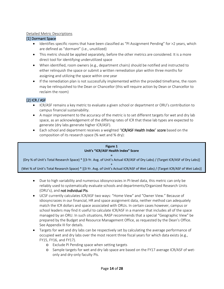#### Detailed Metric Descriptions

#### [1] Dormant Space

- Identifies specific rooms that have been classified as "PI Assignment Pending" for >2 years, which are defined as "dormant" (i.e., unutilized)
- This metric should be applied separately, before the other metrics are considered. It is a more direct tool for identifying underutilized space
- When identified, room owners (e.g., department chairs) should be notified and instructed to either relinquish the space or submit a written remediation plan within three months for assigning and utilizing the space within one year
- If the remediation plan is not successfully implemented within the provided timeframe, the room may be relinquished to the Dean or Chancellor (this will require action by Dean or Chancellor to reclaim the room)

## [2] ICR / ASF

- ICR/ASF remains a key metric to evaluate a given school or department or ORU's contribution to campus financial sustainability.
- A major improvement to the accuracy of the metric is to set different targets for wet and dry lab space, as an acknowledgement of the differing rates of ICR that these lab types are expected to generate (dry labs generate higher ICR/ASF).
- Each school and department receives a weighted "ICR/ASF Health Index" score based on the composition of its research space (% wet and % dry):

| <b>Figure 1</b><br>Unit's "ICR/ASF Health Index" Score                                                                      |
|-----------------------------------------------------------------------------------------------------------------------------|
|                                                                                                                             |
| (Dry % of Unit's Total Research Space) * [(3-Yr. Avg. of Unit's Actual ICR/ASF of Dry Labs) / (Target ICR/ASF of Dry Labs)] |
| (Wet % of Unit's Total Research Space) * [(3-Yr. Avg. of Unit's Actual ICR/ASF of Wet Labs) / (Target ICR/ASF of Wet Labs)] |

- Due to high variability and numerous idiosyncrasies in PI-level data, this metric can only be reliably used to systematically evaluate schools and departments/Organized Research Units (ORU's), and not individual PIs.
- UCSF currently calculates ICR/ASF two ways: "Home View" and "Owner View." Because of idiosyncrasies in our financial, HR and space assignment data, neither method can adequately match the ICR dollars and space associated with ORUs. In certain cases however, campus or school leaders may find it useful to calculate ICR/ASF in a manner that includes all of the space managed by an ORU. In such situations, RASP recommends that a special "Geographic View" be prepared by the Budget and Resource Management Office, as requested by the Dean's Office. See Appendix III for details.
- Targets for wet and dry labs can be respectively set by calculating the average performance of occupied wet and dry labs over the most recent three fiscal years for which data exists (e.g., FY15, FY16, and FY17).
	- o Exclude PI Pending space when setting targets
	- o Sample targets for wet and dry lab space are based on the FY17 average ICR/ASF of wetonly and dry-only faculty PIs.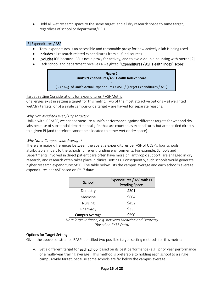• Hold all wet research space to the same target, and all dry research space to same target, regardless of school or department/ORU.

#### [3] Expenditures / ASF

- Total expenditures is an accessible and reasonable proxy for how actively a lab is being used
- Includes all research-related expenditures from all fund sources
- Excludes ICR because ICR is not a proxy for activity, and to avoid double-counting with metric [2]
- Each school and department receives a weighted "Expenditures / ASF Health Index" score:



#### Target Setting Considerations for Expenditures / ASF Metric

Challenges exist in setting a target for this metric. Two of the most attractive options – a) weighted wet/dry targets, or b) a single campus-wide target – are flawed for separate reasons.

#### *Why Not Weighted Wet / Dry Targets?*

Unlike with ICR/ASF, we cannot measure a unit's performance against different targets for wet and dry labs because of substantial departmental gifts that are counted as expenditures but are not tied directly to a given PI (and therefore cannot be allocated to either wet or dry space).

#### *Why Not a Campus-wide Average?*

There are major differences between the average expenditures per ASF of UCSF's four schools, attributable in part to the schools' different funding environments. For example, Schools and Departments involved in direct patient care often have more philanthropic support, are engaged in dry research, and research often takes place in clinical settings. Consequently, such schools would generate higher research expenditures/ASF. The table below lists the campus average and each school's average expenditures per ASF based on FY17 data:

| School                | Expenditures / ASF with PI<br><b>Pending Space</b> |
|-----------------------|----------------------------------------------------|
| Dentistry             | \$301                                              |
| Medicine              | \$604                                              |
| <b>Nursing</b>        | \$452                                              |
| Pharmacy              | \$335                                              |
| <b>Campus Average</b> | \$590                                              |

*Note large variance, e.g. between Medicine and Dentistry (Based on FY17 Data)*

#### Options for Target Setting

Given the above constraints, RASP identified two possible target-setting methods for this metric:

A. Set a different target for **each school** based on its past performance (e.g., prior year performance or a multi-year trailing average). This method is preferable to holding each school to a single campus-wide target, because some schools are far below the campus average.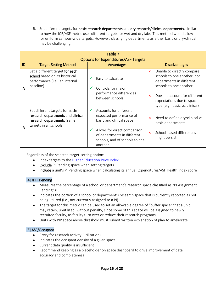B. Set different targets for basic research departments and dry research/clinical departments, similar to how the ICR/ASF metric uses different targets for wet and dry labs. This method would allow for uniform campus-wide targets. However, classifying departments as either basic or dry/clinical may be challenging.

|    | Table 7<br><b>Options for Expenditures/ASF Targets</b>                                                                               |                                                                                                                                                                                                                           |                                                                                                                                                                                                                                                    |  |  |  |  |  |
|----|--------------------------------------------------------------------------------------------------------------------------------------|---------------------------------------------------------------------------------------------------------------------------------------------------------------------------------------------------------------------------|----------------------------------------------------------------------------------------------------------------------------------------------------------------------------------------------------------------------------------------------------|--|--|--|--|--|
| ID | <b>Target-Setting Method</b>                                                                                                         | Advantages                                                                                                                                                                                                                | <b>Disadvantages</b>                                                                                                                                                                                                                               |  |  |  |  |  |
| A  | Set a different target for each<br>school based on its historical<br>performance (i.e., an internal<br>baseline)                     | Easy to calculate<br>Controls for major<br>$\checkmark$<br>performance differences<br>between schools                                                                                                                     | Unable to directly compare<br>×<br>schools to one another, nor<br>departments in different<br>schools to one another<br>Doesn't account for different<br>$\boldsymbol{\mathsf{x}}$<br>expectations due to space<br>type (e.g., basic vs. clinical) |  |  |  |  |  |
| B  | Set different targets for <b>basic</b><br>research departments and clinical<br>research departments (same<br>targets in all schools) | Accounts for different<br>$\checkmark$<br>expected performance of<br>basic and clinical space<br>Allows for direct comparison<br>$\checkmark$<br>of departments in different<br>schools, and of schools to one<br>another | Need to define dry/clinical vs.<br>$\pmb{\times}$<br>basic departments<br>School-based differences<br>$\boldsymbol{\mathsf{x}}$<br>might persist                                                                                                   |  |  |  |  |  |

Regardless of the selected target-setting option:

- Index targets to the [Higher Education Price Index](https://www.commonfund.org/commonfund-institute/higher-education-price-index-hepi/)
- Exclude PI Pending space when setting targets
- Include a unit's PI Pending space when calculating its annual Expenditures/ASF Health Index score

#### [4] % PI Pending

- Measures the percentage of a school or department's research space classified as "PI Assignment Pending" (PIP)
- Indicates the portion of a school or department's research space that is currently reported as not being utilized (i.e., not currently assigned to a PI)
- The target for this metric can be used to set an allowable degree of "buffer space" that a unit may retain, unutilized, without penalty, since some of this space will be assigned to newly recruited faculty, as faculty turn over or reduce their research programs.
- Units with PIP space above threshold must submit written explanation of plan to ameliorate

#### [5] ASF/Occupant

- Proxy for research activity (utilization)
- Indicates the occupant density of a given space
- Current data quality is insufficient
- Recommend keeping as a placeholder on space dashboard to drive improvement of data accuracy and completeness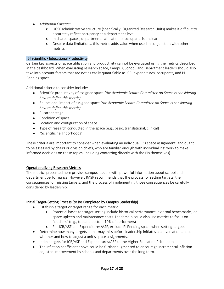- *Additional Caveats:*
	- o UCSF administrative structure (specifically, Organized Research Units) makes it difficult to accurately reflect occupancy at a department level
	- o In shared spaces, departmental affiliation of occupants is unclear
	- o Despite data limitations, this metric adds value when used in conjunction with other metrics

#### [6] Scientific / Educational Productivity

Certain key aspects of space utilization and productivity cannot be evaluated using the metrics described in the dashboard. When evaluating research space, Campus, School, and Department leaders should also take into account factors that are not as easily quantifiable as ICR, expenditures, occupants, and PI Pending space.

Additional criteria to consider include:

- Scientific productivity of assigned space *(the Academic Senate Committee on Space is considering how to define this metric)*
- Educational impact of assigned space *(the Academic Senate Committee on Space is considering how to define this metric)*
- PI career stage
- Condition of space
- Location and configuration of space
- Type of research conducted in the space (e.g., basic, translational, clinical)
- "Scientific neighborhoods"

These criteria are important to consider when evaluating an individual PI's space assignment, and ought to be assessed by chairs or division chiefs, who are familiar enough with individual PIs' work to make informed decisions on these topics (including conferring directly with the PIs themselves).

#### Operationalizing Research Metrics

The metrics presented here provide campus leaders with powerful information about school and department performance. However, RASP recommends that the process for setting targets, the consequences for missing targets, and the process of implementing those consequences be carefully considered by leadership.

#### Initial Target-Setting Process (to Be Completed by Campus Leadership)

- Establish a target or target range for each metric
	- o Potential bases for target setting include historical performance, external benchmarks, or space upkeep and maintenance costs. Leadership could also use metrics to focus on "outliers" (e.g., top and bottom 10% of performers)
	- o For ICR/ASF and Expenditures/ASF, exclude PI Pending space when setting targets
- Determine how many targets a unit may miss before leadership initiates a conversation about whether and how to adjust a unit's space assignments.
- Index targets for ICR/ASF and Expenditures/ASF to the Higher Education Price Index
- The inflation coefficient above could be further augmented to encourage incremental inflationadjusted improvement by schools and departments over the long term.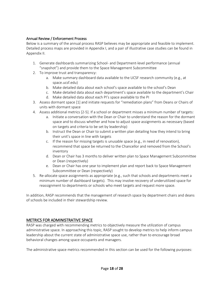#### Annual Review / Enforcement Process

Below is a summary of the annual process RASP believes may be appropriate and feasible to implement. Detailed process maps are provided in Appendix I, and a pair of illustrative case studies can be found in Appendix II.

- 1. Generate dashboards summarizing School- and Department-level performance (annual "snapshot") and provide them to the Space Management Subcommittee
- 2. To improve trust and transparency:
	- a. Make summary dashboard data available to the UCSF research community (e.g., at space.ucsf.edu)
	- b. Make detailed data about each school's space available to the school's Dean
	- c. Make detailed data about each department's space available to the department's Chair
	- d. Make detailed data about each PI's space available to the PI
- 3. Assess dormant space [1] and initiate requests for "remediation plans" from Deans or Chairs of units with dormant space
- 4. Assess additional metrics [2-5]. If a school or department misses a minimum number of targets:
	- a. Initiate a conversation with the Dean or Chair to understand the reason for the dormant space and to discuss whether and how to adjust space assignments as necessary (based on targets and criteria to be set by leadership)
	- b. Instruct the Dean or Chair to submit a written plan detailing how they intend to bring their unit's space in line with targets
	- c. If the reason for missing targets is unusable space (e.g., in need of renovation), recommend that space be returned to the Chancellor and removed from the School's inventory
	- d. Dean or Chair has 3 months to deliver written plan to Space Management Subcommittee or Dean (respectively)
	- e. Dean or Chair has one year to implement plan and report back to Space Management Subcommittee or Dean (respectively)
- 5. Re-allocate space assignments as appropriate (e.g., such that schools and departments meet a minimum number of dashboard targets). This may involve recovery of underutilized space for reassignment to departments or schools who meet targets and request more space.

In addition, RASP recommends that the management of research space by department chairs and deans of schools be included in their stewardship review.

#### METRICS FOR ADMINISTRATIVE SPACE

RASP was charged with recommending metrics to objectively measure the utilization of campus administrative space. In approaching this topic, RASP sought to develop metrics to help inform campus leadership about the current state of administrative space use, rather than to encourage broad behavioral changes among space occupants and managers.

The administrative space metrics recommended in this section can be used for the following purposes: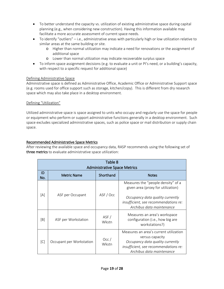- To better understand the capacity vs. utilization of existing administrative space during capital planning (e.g., when considering new construction). Having this information available may facilitate a more accurate assessment of current space needs.
- To identify "outliers" i.e., administrative areas with particularly high or low utilization relative to similar areas at the same building or site.
	- o Higher than normal utilization may indicate a need for renovations or the assignment of additional space
	- o Lower than normal utilization may indicate recoverable surplus space
- To inform space assignment decisions (e.g. to evaluate a unit or PI's need, or a building's capacity, with respect to a specific request for additional space)

#### Defining Administrative Space

Administrative space is defined as Administrative Office, Academic Office or Administrative Support space (e.g. rooms used for office support such as storage, kitchen/copy). This is different from dry research space which may also take place in a desktop environment.

#### Defining "Utilization"

Utilized administrative space is space assigned to units who occupy and regularly use the space for people or equipment who perform or support administrative functions generally in a desktop environment. Such space excludes specialized administrative spaces, such as police space or mail distribution or supply chain space.

#### Recommended Administrative Space Metrics

After reviewing the available space and occupancy data, RASP recommends using the following set of three metrics to evaluate administrative space utilization:

| Table 8<br><b>Administrative Space Metrics</b> |                          |                |                                                                                                                                                                     |  |  |
|------------------------------------------------|--------------------------|----------------|---------------------------------------------------------------------------------------------------------------------------------------------------------------------|--|--|
| ID<br>No.                                      | <b>Metric Name</b>       | Shorthand      | <b>Notes</b>                                                                                                                                                        |  |  |
|                                                |                          |                | Measures the "people density" of a<br>given area (proxy for utilization)                                                                                            |  |  |
| [A]                                            | ASF per Occupant         | ASF / Occ      | Occupancy data quality currently<br>insufficient, see recommendations re:<br>Archibus data maintenance                                                              |  |  |
| [B]                                            | ASF per Workstation      | ASF/<br>Wkstn  | Measures an area's workspace<br>configuration (i.e., how big are<br>workstations?)                                                                                  |  |  |
| $\lceil C \rceil$                              | Occupant per Workstation | Occ /<br>Wkstn | Measures an area's current utilization<br>versus capacity<br>Occupancy data quality currently<br>insufficient, see recommendations re:<br>Archibus data maintenance |  |  |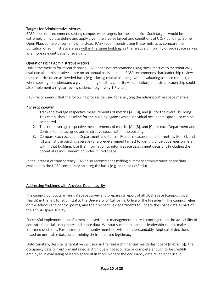#### Targets for Administrative Metrics

RASP does not recommend setting campus-wide targets for these metrics. Such targets would be extremely difficult to define and apply given the diverse layout and conditions of UCSF buildings (some Open Plan, some old, some new). Instead, RASP recommends using these metrics to compare the utilization of administrative areas within the same building, as the relative uniformity of such space serves as a more relevant basis for evaluation.

#### Operationalizing Administrative Metrics

Unlike the metrics for research space, RASP does not recommend using these metrics to systematically evaluate all administrative space on an annual basis. Instead, RASP recommends that leadership review these metrics on an as-needed basis (e.g., during capital planning, when evaluating a space request, or when seeking to understand a given building or site's capacity vs. utilization). If desired, leadership could also implement a regular review cadence (e.g. every 1-3 years).

RASP recommends that the following process be used for analyzing the administrative space metrics:

#### For each building*:*

- 1. Track the average respective measurements of metrics [A], [B], and [C] for the overall building. This establishes a baseline for the building against which individual occupants' space use can be compared.
- 2. Track the average respective measurements of metrics [A], [B], and [C] for each Department and Control Point's assigned administrative space within the building.
- 3. Compare each occupant Department and Control Point's measurements for metrics [A], [B], and [C] against the building average (or a predetermined target) to identify under/over-performers within that building. Use this information to inform space assignment decisions (including the potential relinquishment of underutilized space).

In the interest of transparency, RASP also recommends making summary administrative space data available to the UCSF community on a regular basis (e.g. at space.ucsf.edu).

#### Addressing Problems with Archibus Data Integrity

The campus conducts an annual space survey and prepares a report of all UCSF space (campus, UCSF Health) in the fall, for submittal to the University of California, Office of the President. The campus relies on the schools and control points, and their respective departments to update the space data as part of the annual space survey.

Successful implementation of a metric-based space management policy is contingent on the availability of accurate financial, occupancy, and space data. Without such data, campus leadership cannot make informed decisions. Furthermore, community members will be understandably skeptical of decisions based on unreliable data, undermining their perceived legitimacy.

Unfortunately, despite its tentative inclusion in the research financial health dashboard (metric [5]), the occupancy data currently maintained in Archibus is not accurate or complete enough to be credibly employed in evaluating research space utilization. Nor are the occupancy data reliable for use in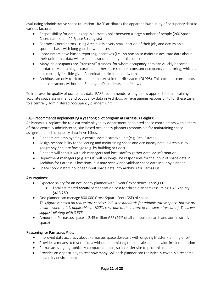evaluating administrative space utilization. RASP attributes the apparent low quality of occupancy data to various factors:

- Responsibility for data upkeep is currently split between a large number of people (260 Space Coordinators and 22 Space Strategists)
- For most Coordinators, using Archibus is a very small portion of their job, and occurs on a sporadic basis with long gaps between uses
- Coordinators have biased reporting incentives (i.e., no reason to maintain accurate data about their unit if that data will result in a space penalty for the unit)
- Many lab occupants are "transient" trainees, for whom occupancy data can quickly become outdated. Maintaining accurate data therefore requires constant occupancy monitoring, which is not currently feasible given Coordinators' limited bandwidth.
- Archibus can only track occupants that exist in the HR system (OLPPS). This excludes consultants and contractors without an Employee ID, students, and fellows.

To improve the quality of occupancy data, RASP recommends testing a new approach to maintaining accurate space assignment and occupancy data in Archibus, by re-assigning responsibility for these tasks to a centrally administered "occupancy planner" unit.

#### RASP recommends implementing a yearlong pilot program at Parnassus Heights:

At Parnassus, replace the role currently played by department appointed space coordinators with a team of three centrally administered, site-based occupancy planners responsible for maintaining space assignment and occupancy data in Archibus.

- Planners are employed by a central administrative unit (e.g. Real Estate)
- Assign responsibility for collecting and maintaining space and occupancy data in Archibus by geography / square footage (e.g. by building or floor)
- Planners will consult with lab managers and local staff to gather detailed information
- Department managers (e.g. MSOs) will no longer be responsible for the input of space data in Archibus for Parnassus locations, but may review and validate space data input by planner
- Space coordinators no longer input space data into Archibus for Parnassus

#### Assumptions:

- Expected salary for an occupancy planner with 5 years' experience is \$95,000
	- o Total estimated annual compensation cost for three planners (assuming 1.45 x salary): \$413,250
- One planner can manage 800,000 Gross Square Feet (GSF) of space *This figure is based on real estate services industry standards for administrative space, but we are unsure whether it is applicable in UCSF's case due to the nature of the space (research). Thus, we suggest piloting with 3 FTE.*
- Amount of Parnassus space is 2.45 million GSF (29% of all campus research and administrative space)

#### Reasoning for Parnassus Pilot:

- Improved data accuracy about Parnassus space dovetails with ongoing Master Planning effort
- Provides a means to test the idea without committing to full-scale campus-wide implementation
- Parnassus is a geographically compact campus, so an easier site to pilot this model.
- Provides an opportunity to test how many GSF each planner can realistically cover in a research university environment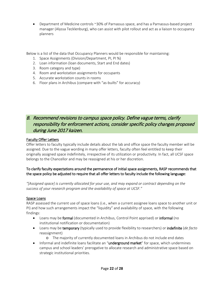• Department of Medicine controls ~30% of Parnassus space, and has a Parnassus-based project manager (Alyssa Tecklenburg), who can assist with pilot rollout and act as a liaison to occupancy planners

Below is a list of the data that Occupancy Planners would be responsible for maintaining:

- 1. Space Assignments (Division/Department, PI, PI %)
- 2. Loan information (loan documents, Start and End dates)
- 3. Room category and type)
- 4. Room and workstation assignments for occupants
- 5. Accurate workstation counts in rooms
- 6. Floor plans in Archibus (compare with "as-builts" for accuracy)

# B. Recommend revisions to campus space policy. Define vague terms, clarify responsibility for enforcement actions, consider specific policy changes proposed during June 2017 kaizen.

#### Faculty Offer Letters

Offer letters to faculty typically include details about the lab and office space the faculty member will be assigned. Due to the vague wording in many offer letters, faculty often feel entitled to keep their originally assigned space indefinitely, irrespective of its utilization or productivity. In fact, all UCSF space belongs to the Chancellor and may be reassigned at his or her discretion.

#### To clarify faculty expectations around the permanence of initial space assignments, RASP recommends that the space policy be adjusted to require that all offer letters to faculty include the following language:

*"[Assigned space] is currently allocated for your use, and may expand or contract depending on the success of your research program and the availability of space at UCSF."*

#### Space Loans

RASP assessed the current use of space loans (i.e., when a current assignee loans space to another unit or PI) and how such arrangements impact the "liquidity" and availability of space, with the following findings:

- Loans may be formal (documented in Archibus, Control Point apprised) or informal (no institutional notification or documentation)
- Loans may be temporary (typically used to provide flexibility to researchers) or indefinite (*de facto* reassignment)
	- o The majority of currently documented loans in Archibus do not include end dates
- Informal and indefinite loans facilitate an "underground market" for space, which undermines campus and school leaders' prerogative to allocate research and administrative space based on strategic institutional priorities.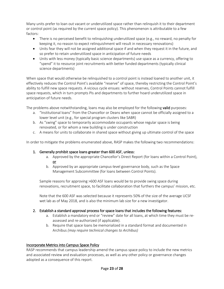Many units prefer to loan out vacant or underutilized space rather than relinquish it to their department or control point (as required by the current space policy). This phenomenon is attributable to a few factors:

- There is no perceived benefit to relinguishing underutilized space (e.g., no reward, no penalty for keeping it, no reason to expect relinquishment will result in necessary renovations)
- Units fear they will not be assigned additional space if and when they request it in the future, and so prefer to retain underutilized space in anticipation of future needs
- Units with less money (typically basic science departments) use space as a currency, offering to "spend" it to resource joint recruitments with better funded departments (typically clinical science departments)

When space that would otherwise be relinquished to a control point is instead loaned to another unit, it effectively reduces the Control Point's available "reserve" of space, thereby restricting the Control Point's ability to fulfill new space requests. A vicious cycle ensues: without reserves, Control Points cannot fulfill space requests, which in turn prompts PIs and departments to further hoard underutilized space in anticipation of future needs.

The problems above notwithstanding, loans may also be employed for the following valid purposes:

- a. "Institutional loans" from the Chancellor or Deans when space cannot be officially assigned to a lower level unit (e.g., for special program clusters like SABR)
- b. As "swing" space to temporarily accommodate occupants whose regular space is being renovated, or for whom a new building is under construction
- c. A means for units to collaborate in shared space without giving up ultimate control of the space

In order to mitigate the problems enumerated above, RASP makes the following two recommendations:

#### 1. Generally prohibit space loans greater than 600 ASF, unless:

- a. Approved by the appropriate Chancellor's Direct Report (for loans within a Control Point), or
- b. Approved by an appropriate campus-level governance body, such as the Space Management Subcommittee (for loans between Control Points).

Sample reasons for approving >600 ASF loans would be to provide swing space during renovations, recruitment space, to facilitate collaboration that furthers the campus' mission, etc.

Note that the 600 ASF was selected because it represents 50% of the size of the average UCSF wet lab as of May 2018, and is also the minimum lab size for a new investigator.

#### 2. Establish a standard approval process for space loans that includes the following features:

- a. Establish a mandatory end or "review" date for all loans, at which time they must be reassessed and re-authorized (if applicable).
- b. Require that space loans be memorialized in a standard format and documented in Archibus *(may require technical changes to Archibus)*

#### Incorporate Metrics into Campus Space Policy

RASP recommends that campus leadership amend the campus space policy to include the new metrics and associated review and evaluation processes, as well as any other policy or governance changes adopted as a consequence of this report.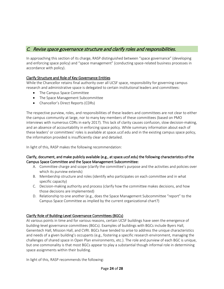## C. Revise space governance structure and clarify roles and responsibilities.

In approaching this section of its charge, RASP distinguished between "space governance" (developing and enforcing space policy) and "space management" (conducting space-related business processes in accordance with policy).

#### Clarify Structure and Role of Key Governance Entities

While the Chancellor retains final authority over all UCSF space, responsibility for governing campus research and administrative space is delegated to certain institutional leaders and committees:

- The Campus Space Committee
- The Space Management Subcommittee
- Chancellor's Direct Reports (CDRs)

The respective purview, roles, and responsibilities of these leaders and committees are not clear to either the campus community at large, nor to many key members of these committees (based on PMO interviews with numerous CDRs in early 2017). This lack of clarity causes confusion, slow decision-making, and an absence of accountability in enforcing space policy. While summary information about each of these leaders' or committees' roles is available at space.ucsf.edu and in the existing campus space policy, the information provided is insufficiently clear and detailed.

In light of this, RASP makes the following recommendation:

#### Clarify, document, and make publicly available (e.g., at space.ucsf.edu) the following characteristics of the Campus Space Committee and the Space Management Subcommittee:

- A. Committee charge and scope (clarify the committee's purpose and the activities and policies over which its purview extends)
- B. Membership structure and roles (identify who participates on each committee and in what specific capacity)
- C. Decision-making authority and process (clarify how the committee makes decisions, and how those decisions are implemented)
- D. Relationship to one another (e.g., does the Space Management Subcommittee "report" to the Campus Space Committee as implied by the current organizational chart?)

#### Clarify Role of Building-Level Governance Committees (BGCs)

At various points in time and for various reasons, certain UCSF buildings have seen the emergence of building-level governance committees (BGCs). Examples of buildings with BGCs include Byers Hall, Genentech Hall, Mission Hall, and CVRI. BGCs have tended to arise to address the unique characteristics and needs of a given building's occupants (e.g., fostering a specific research environment, managing the challenges of shared space in Open Plan environments, etc.). The role and purview of each BGC is unique, but one commonality is that most BGCs appear to play a substantial though informal role in determining space assignments within their building.

In light of this, RASP recommends the following: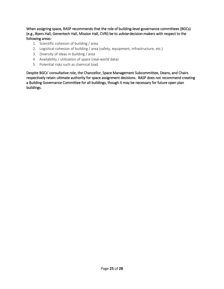When assigning space, RASP recommends that the role of building-level governance committees (BGCs) (e.g., Byers Hall, Genentech Hall, Mission Hall, CVRI) be to advise decision-makers with respect to the following areas:

- 1. Scientific cohesion of building / area
- 2. Logistical cohesion of building / area (safety, equipment, infrastructure, etc.)
- 3. Diversity of ideas in building / area
- 4. Availability / utilization of space (real-world data)
- 5. Potential risks such as chemical load

Despite BGCs' consultative role, the Chancellor, Space Management Subcommittee, Deans, and Chairs respectively retain ultimate authority for space assignment decisions. RASP does not recommend creating a Building Governance Committee for all buildings, though it may be necessary for future open plan buildings.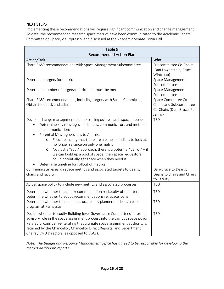#### NEXT STEPS

Implementing these recommendations will require significant communication and change management. To date, the recommended research space metrics have been communicated to the Academic Senate Committee on Space, via Expresso, and discussed at the Academic Senate Town Hall.

| Table 9                                                                                                                                                                                                                                                                                                                                                                                                                                                                                                                                                      |                                                                                         |  |  |  |  |
|--------------------------------------------------------------------------------------------------------------------------------------------------------------------------------------------------------------------------------------------------------------------------------------------------------------------------------------------------------------------------------------------------------------------------------------------------------------------------------------------------------------------------------------------------------------|-----------------------------------------------------------------------------------------|--|--|--|--|
| <b>Recommended Action Plan</b><br>Action/Task                                                                                                                                                                                                                                                                                                                                                                                                                                                                                                                | Who                                                                                     |  |  |  |  |
| Share RASP recommendations with Space Management Subcommittee                                                                                                                                                                                                                                                                                                                                                                                                                                                                                                | Subcommittee Co-Chairs<br>(Dan Lowenstein, Bruce<br>Wintroub)                           |  |  |  |  |
| Determine targets for metrics                                                                                                                                                                                                                                                                                                                                                                                                                                                                                                                                | Space Management<br>Subcommittee                                                        |  |  |  |  |
| Determine number of targets/metrics that must be met                                                                                                                                                                                                                                                                                                                                                                                                                                                                                                         | Space Management<br>Subcommittee                                                        |  |  |  |  |
| Share RASP recommendations, including targets with Space Committee;<br>Obtain feedback and adjust                                                                                                                                                                                                                                                                                                                                                                                                                                                            | Space Committee Co-<br>Chairs and Subcommittee<br>Co-Chairs (Dan, Bruce, Paul<br>Jenny) |  |  |  |  |
| Develop change management plan for rolling out research space metrics<br>Determine key messages, audiences, communicators and method<br>of communication;<br>Potential Messages/Issues to Address<br>Educate faculty that there are a panel of indices to look at,<br>$\circ$<br>no longer reliance on only one metric<br>Not just a "stick" approach, there is a potential "carrot" - if<br>$\circ$<br>we can build up a pool of space, then space requestors<br>could potentially get space when they need it<br>Determine timeline for rollout of metrics | <b>TBD</b>                                                                              |  |  |  |  |
| Communicate research space metrics and associated targets to deans,<br>chairs and faculty.                                                                                                                                                                                                                                                                                                                                                                                                                                                                   | Dan/Bruce to Deans;<br>Deans to chairs and Chairs<br>to Faculty                         |  |  |  |  |
| Adjust space policy to include new metrics and associated processes                                                                                                                                                                                                                                                                                                                                                                                                                                                                                          | <b>TBD</b>                                                                              |  |  |  |  |
| Determine whether to adopt recommendation re: faculty offer letters<br>Determine whether to adopt recommendations re: space loans                                                                                                                                                                                                                                                                                                                                                                                                                            | <b>TBD</b>                                                                              |  |  |  |  |
| Determine whether to implement occupancy planner model as a pilot<br>program at Parnassus                                                                                                                                                                                                                                                                                                                                                                                                                                                                    | <b>TBD</b>                                                                              |  |  |  |  |
| Decide whether to codify Building-level Governance Committees' informal<br>advisory role in the space assignment process into the campus space policy.<br>Relatedly, consider re-iterating that ultimate space assignment authority is<br>retained by the Chancellor, Chancellor Direct Reports, and Department<br>Chairs / ORU Directors (as opposed to BGCs).                                                                                                                                                                                              | TBD                                                                                     |  |  |  |  |

*Note: The Budget and Resource Management Office has agreed to be responsible for developing the metrics dashboard reports.*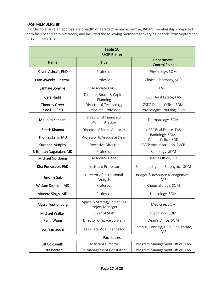### RASP MEMBERSHIP

In order to ensure an appropriate breadth of perspective and expertise, RASP's membership comprised both faculty and administrators, and included the following members for varying periods from September 2017 – June 2018.

| Table 10<br><b>RASP Roster</b> |                                                 |                                           |  |  |  |  |
|--------------------------------|-------------------------------------------------|-------------------------------------------|--|--|--|--|
| <b>Name</b>                    | <b>Title</b>                                    | Department,<br><b>Control Point</b>       |  |  |  |  |
| Kaveh Ashrafi, PhD             | Professor                                       | Physiology, SOM                           |  |  |  |  |
| Fran Aweeka, PharmD            | Professor                                       | Clinical Pharmacy, SOP                    |  |  |  |  |
| Janhavi Bonville               | Associate EVCP                                  | <b>EVCP</b>                               |  |  |  |  |
| Cara Fladd                     | Director, Space & Capital<br>Planning           | UCSF Real Estate, FAS                     |  |  |  |  |
| <b>Timothy Greer</b>           | Director of Technology                          | ZSFG Dean's Office, SOM                   |  |  |  |  |
| Xiao Hu, PhD                   | Associate Professor                             | Physiological Nursing, SON                |  |  |  |  |
| Mounira Kenaani                | Director of Finance &<br>Administration         | Dermatology, SOM                          |  |  |  |  |
| Ritesh Khanna                  | Director of Space Analytics                     | UCSF Real Estate, FAS                     |  |  |  |  |
| Thomas Lang, MD                | Professor & Associate Dean                      | Radiology, SOM,<br>Dean's Office, SOD     |  |  |  |  |
| <b>Suzanne Murphy</b>          | <b>Executive Director</b>                       | EVCP Administration, EVCP                 |  |  |  |  |
| Srikantan Nagarajan, MD        | Professor                                       | Radiology, SOM                            |  |  |  |  |
| Michael Nordberg               | Associate Dean                                  | Dean's Office, SOP                        |  |  |  |  |
| Kira Poskanzer, PhD            | Assistant Professor                             | Biochemistry and Biophysics, SOM          |  |  |  |  |
| Jerome Sak                     | Director of Institutional<br>Analysis           | Budget & Resource Management,<br>FAS      |  |  |  |  |
| William Seaman, MD             | Professor                                       | Rheumatology, SOM                         |  |  |  |  |
| Vineeta Singh, MD              | Professor                                       | Neurology, SOM                            |  |  |  |  |
| Alyssa Tecklenburg             | Space & Strategy Initiatives<br>Project Manager | Medicine, SOM                             |  |  |  |  |
| Michael Walker                 | Chief of Staff                                  | Psychiatry, SOM                           |  |  |  |  |
| Karin Wong                     | Director of Space Strategy                      | Dean's Office, SOM                        |  |  |  |  |
| Lori Yamauchi                  | Associate Vice Chancellor                       | Campus Planning, UCSF Real Estate,<br>FAS |  |  |  |  |
| <b>Facilitators</b>            |                                                 |                                           |  |  |  |  |
| Jill Goldsmith                 | Assistant Director                              | Program Management Office, FAS            |  |  |  |  |
| <b>Ezra Berger</b>             | Sr. Management Consultant                       | Program Management Office, FAS            |  |  |  |  |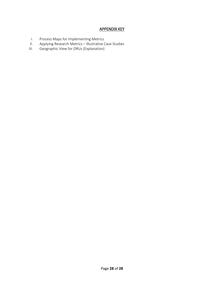## APPENDIX KEY

- I. Process Maps for Implementing Metrics
- II. Applying Research Metrics Illustrative Case Studies
- III. Geographic View for ORUs (Explanation)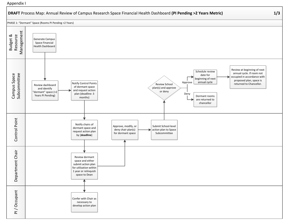#### Appendix I

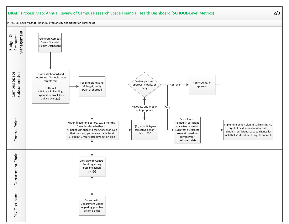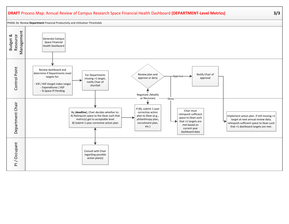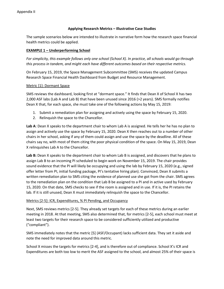#### **Applying Research Metrics – Illustrative Case Studies**

The sample scenarios below are intended to illustrate in narrative form how the research space financial health metrics could be applied.

#### **EXAMPLE 1 – Underperforming School**

*For simplicity, this example follows only one school (School X). In practice, all schools would go through this process in tandem, and might each have different outcomes based on their respective metrics.*

On February 15, 2019, the Space Management Subcommittee (SMS) receives the updated Campus Research Space Financial Health Dashboard from Budget and Resource Management.

#### Metric [1]: Dormant Space

SMS reviews the dashboard, looking first at "dormant space." It finds that Dean X of School X has two 2,000 ASF labs (Lab A and Lab B) that have been unused since 2016 (>2 years). SMS formally notifies Dean X that, for each space, she must take one of the following actions by May 15, 2019:

- 1. Submit a remediation plan for assigning and actively using the space by February 15, 2020.
- 2. Relinquish the space to the Chancellor.

**Lab A**: Dean X speaks to the department chair to whom Lab A is assigned. He tells her he has no plan to assign and actively use the space by February 15, 2020. Dean X then reaches out to a number of other chairs in her school, asking if any of them could assign and use the space by the deadline. All of these chairs say no, with most of them citing the poor physical condition of the space. On May 15, 2019, Dean X relinquishes Lab A to the Chancellor.

**Lab B:** Dean X speaks to the department chair to whom Lab B is assigned, and discovers that he plans to assign Lab B to an incoming PI scheduled to begin work on November 15, 2019. The chair provides sound evidence that the PI will likely be occupying and using the lab by February 15, 2020 (e.g., signed offer letter from PI, initial funding package, PI's tentative hiring plan). Convinced, Dean X submits a written remediation plan to SMS citing the evidence of planned use she got from the chair. SMS agrees to the remediation plan on the condition that Lab B be assigned to a PI and in active used by February 15, 2020. On that date, SMS checks to see if the room is assigned and in use. If it is, the PI retains the lab. If it is still unused, Dean X must immediately relinquish the space to the Chancellor.

#### Metrics [2-5]: ICR, Expenditures, % PI Pending, and Occupancy

Next, SMS reviews metrics [2-5]. They already set targets for each of these metrics during an earlier meeting in 2018. At that meeting, SMS also determined that, for metrics [2-5], each school must meet at least two targets for their research space to be considered sufficiently utilized and productive ("compliant").

SMS immediately notes that the metric [5] (ASF/Occupant) lacks sufficient data. They set it aside and note the need for improved data around this metric.

School X misses the targets for metrics [2-4], and is therefore out of compliance. School X's ICR and Expenditures are both too low to merit the ASF assigned to the school, and almost 25% of their space is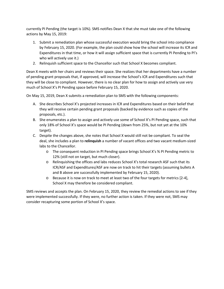currently PI Pending (the target is 10%). SMS notifies Dean X that she must take one of the following actions by May 15, 2019:

- 1. Submit a remediation plan whose successful execution would bring the school into compliance by February 15, 2020. (For example, the plan could show how the school will increase its ICR and Expenditures in that time, or how it will assign sufficient space that is currently PI Pending to PI's who will actively use it.)
- 2. Relinquish sufficient space to the Chancellor such that School X becomes compliant.

Dean X meets with her chairs and reviews their space. She realizes that her departments have a number of pending grant proposals that, if approved, will increase the School's ICR and Expenditures such that they will be close to compliant. However, there is no clear plan for how to assign and actively use very much of School X's PI Pending space before February 15, 2020.

On May 15, 2019, Dean X submits a remediation plan to SMS with the following components:

- A. She describes School X's projected increases in ICR and Expenditures based on their belief that they will receive certain pending grant proposals (backed by evidence such as copies of the proposals, etc.).
- B. She enumerates a plan to assign and actively use some of School X's PI Pending space, such that only 18% of School X's space would be PI Pending (down from 25%, but not yet at the 10% target).
- C. Despite the changes above, she notes that School X would still not be compliant. To seal the deal, she includes a plan to **relinquish** a number of vacant offices and two vacant medium-sized labs to the Chancellor.
	- o The consequent reduction in PI Pending space brings School X's % PI Pending metric to 12% (still not on target, but much closer).
	- o Relinquishing the offices and labs reduces School X's total research ASF such that its ICR/ASF and Expenditures/ASF are now on track to hit their targets (assuming bullets A and B above are successfully implemented by February 15, 2020).
	- $\circ$  Because it is now on track to meet at least two of the four targets for metrics [2-4], School X may therefore be considered compliant.

SMS reviews and accepts the plan. On February 15, 2020, they review the remedial actions to see if they were implemented successfully. If they were, no further action is taken. If they were not, SMS may consider recapturing some portion of School X's space.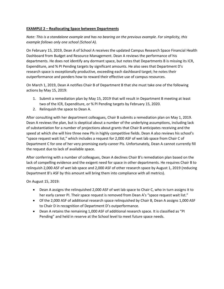#### **EXAMPLE 2 – Reallocating Space between Departments**

*Note: This is a standalone example and has no bearing on the previous example. For simplicity, this example follows only one school (School A).* 

On February 15, 2019, Dean A of School A receives the updated Campus Research Space Financial Health Dashboard from Budget and Resource Management. Dean A reviews the performance of his departments. He does not identify any dormant space, but notes that Departments B is missing its ICR, Expenditure, and % PI Pending targets by significant amounts. He also sees that Department D's research space is exceptionally productive, exceeding each dashboard target; he notes their outperformance and ponders how to reward their effective use of campus resources.

On March 1, 2019, Dean A notifies Chair B of Department B that she must take one of the following actions by May 15, 2019:

- 1. Submit a remediation plan by May 15, 2019 that will result in Department B meeting at least two of the ICR, Expenditure, or % PI Pending targets by February 15, 2020.
- 2. Relinquish the space to Dean A.

After consulting with her department colleagues, Chair B submits a remediation plan on May 1, 2019. Dean A reviews the plan, but is skeptical about a number of the underlying assumptions, including lack of substantiation for a number of projections about grants that Chair B anticipates receiving and the speed at which she will hire three new PIs in highly competitive fields. Dean A also reviews his school's "space request wait list," which includes a request for 2,000 ASF of wet lab space from Chair C of Department C for one of her very promising early-career PIs. Unfortunately, Dean A cannot currently fill the request due to lack of available space.

After conferring with a number of colleagues, Dean A declines Chair B's remediation plan based on the lack of compelling evidence and the exigent need for space in other departments. He requires Chair B to relinquish 2,000 ASF of wet lab space and 2,000 ASF of other research space by August 1, 2019 (reducing Department B's ASF by this amount will bring them into compliance with all metrics).

On August 15, 2019:

- Dean A assigns the relinquished 2,000 ASF of wet lab space to Chair C, who in turn assigns it to her early career PI. Their space request is removed from Dean A's "space request wait list."
- Of the 2,000 ASF of additional research space relinquished by Chair B, Dean A assigns 1,000 ASF to Chair D in recognition of Department D's outperformance.
- Dean A retains the remaining 1,000 ASF of additional research space. It is classified as "PI Pending" and held in reserve at the School level to meet future space needs.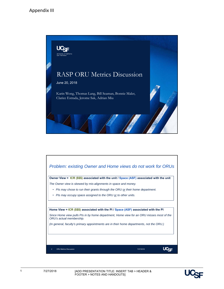



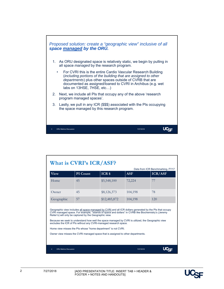

| <b>What is CVRI's ICR/ASF?</b>                                                                                                                                                                                                                                                                                                                                                                                                                                                                                                                                                                         |                                  |                   |            |                |  |  |  |
|--------------------------------------------------------------------------------------------------------------------------------------------------------------------------------------------------------------------------------------------------------------------------------------------------------------------------------------------------------------------------------------------------------------------------------------------------------------------------------------------------------------------------------------------------------------------------------------------------------|----------------------------------|-------------------|------------|----------------|--|--|--|
|                                                                                                                                                                                                                                                                                                                                                                                                                                                                                                                                                                                                        | Data from ICR Benchmarking, FY17 |                   |            |                |  |  |  |
| <b>View</b>                                                                                                                                                                                                                                                                                                                                                                                                                                                                                                                                                                                            | PI Count                         | ICR <sub>\$</sub> | <b>ASF</b> | <b>ICR/ASF</b> |  |  |  |
| Home                                                                                                                                                                                                                                                                                                                                                                                                                                                                                                                                                                                                   | 45                               | \$5,548,100       | 72,224     | 77             |  |  |  |
| Owner                                                                                                                                                                                                                                                                                                                                                                                                                                                                                                                                                                                                  | 45                               | \$8,126,373       | 104,198    | 78             |  |  |  |
| Geographic                                                                                                                                                                                                                                                                                                                                                                                                                                                                                                                                                                                             | 57                               | \$12,485,872      | 104,198    | 120            |  |  |  |
| Geographic view includes all space managed by CVRI and all ICR dollars generated by the PIs that occupy<br>CVRI managed space. For example, "islands of space and dollars" in CVRB like Biochemistry's (Jeremy<br>Reiter's) will only be captured by the Geographic view.<br>Because we seek to understand how well the space managed by CVRI is utilized, the Geographic view<br>excludes the ICR of PIs without any CVRI-managed research space.<br>Home view misses the PIs whose "home department" is not CVRI.<br>Owner view misses the CVRI managed space that is assigned to other departments. |                                  |                   |            |                |  |  |  |
| <b>ORU Metrics Discussion</b>                                                                                                                                                                                                                                                                                                                                                                                                                                                                                                                                                                          |                                  |                   | 7/27/2018  |                |  |  |  |